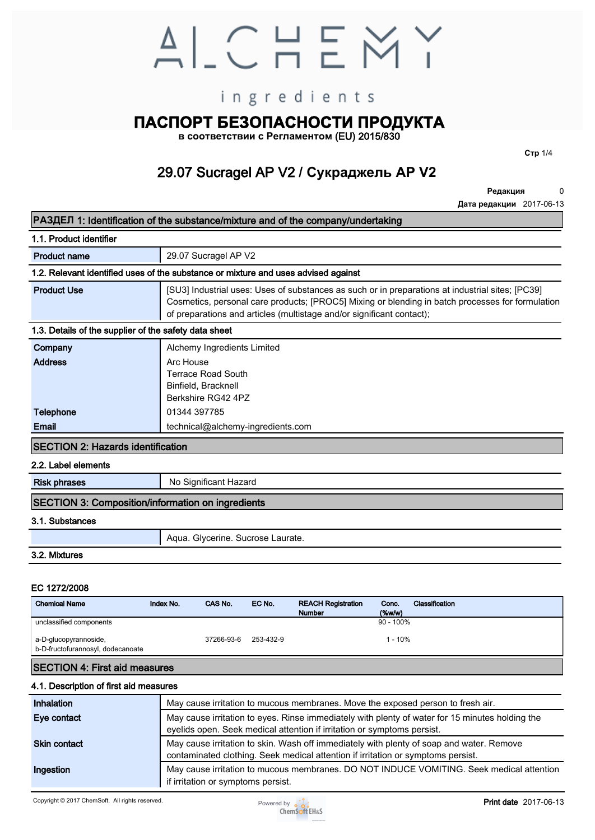# ALCHEMY

## ingredients

## **ПАСПОРТ БЕЗОПАСНОСТИ ПРОДУКТА**

**в соответствии с Регламентом (EU) 2015/830**

**29.07 Sucragel AP V2 / Сукраджель AP V2**

**Редакция 0**

**Стр 1/4**

**Дата редакции 2017-06-13**

#### **РАЗДЕЛ 1: Идентификация вещества/смеси и компании производителя/поставщика**

#### **1.1. Идентификация продукта**

| Название продукта                                                                                | 29.07 Sucragel AP V2 / Сукраджель AP V2                                                                                                                                                                                                                                       |  |  |
|--------------------------------------------------------------------------------------------------|-------------------------------------------------------------------------------------------------------------------------------------------------------------------------------------------------------------------------------------------------------------------------------|--|--|
| 1.2. Соответствующие установленным применения вещества или смеси и противопоказания к применению |                                                                                                                                                                                                                                                                               |  |  |
| Установленное применение                                                                         | [SU3] Промышленное применение: использование веществ в чистом виде или в смесях на<br>промышленных предприятиях; [PC39] Косметика, средства личной гигиены; [PROC5] Смешивание или<br>гомогенизирование в периодических процессах (многоразовый и/или. значительный контакт). |  |  |

#### **1.3. Подробная информация о поставщике в паспорте безопасности**

| Название компании | Alchemy Ingredients Limited / Алкеми Ингредиентс Лтд |
|-------------------|------------------------------------------------------|
| Адрес             | Arc House                                            |
|                   | Terrace Road South                                   |
|                   | Binfield, Bracknell                                  |
|                   | Berkshire RG42 4PZ - Великобритания                  |
| Телефон           | 01344 397785                                         |
| Email             | technical@alchemy-ingredients.com                    |

#### **РАЗДЕЛ 2: Идентификация опасности**

#### **2.2. Элементы маркировки**

| R-фразы (фразы риска)                       | Не представляет значительной опасности |  |  |  |
|---------------------------------------------|----------------------------------------|--|--|--|
| РАЗДЕЛ 3: Состав/информация об ингредиентах |                                        |  |  |  |

#### **3.1. Вещества**

#### **3.2. Смеси**

#### **EC 1272/2008**

| РАЗДЕЛ 3: Состав/информация об ингредиентах                                                               |           |                                  |           |                                |                                    |               |
|-----------------------------------------------------------------------------------------------------------|-----------|----------------------------------|-----------|--------------------------------|------------------------------------|---------------|
| 3.1. Вещества                                                                                             |           |                                  |           |                                |                                    |               |
|                                                                                                           |           | Вода. Глицерин. Лаурат Сахарозы. |           |                                |                                    |               |
| 3.2. Смеси                                                                                                |           |                                  |           |                                |                                    |               |
| EC 1272/2008<br>Химическое название                                                                       | Index No. | CAS No.                          | EC No.    | REACH регистрационный<br>номер | Конц.<br>$(% \mathbf{A})$ (% Bec.) | Классификация |
| Неклассифицируемые компоненты<br>а-D-глюкопиранозил, β-D-Фруктофуранозил,<br>додеканоат - лаурат сахароза |           | 37266-93-6                       | 253-432-9 |                                | $90 - 100\%$<br>$1 - 10%$          |               |
| РАЗЛЕЛ 4: Меры первой помощи                                                                              |           |                                  |           |                                |                                    |               |

#### **РАЗДЕЛ 4: Меры первой помощи**

#### **4.1. Описание мер первой помощи**

| Inhalation          | May cause irritation to mucous membranes. Move the exposed person to fresh air.                                                                                              |
|---------------------|------------------------------------------------------------------------------------------------------------------------------------------------------------------------------|
| Eye contact         | May cause irritation to eyes. Rinse immediately with plenty of water for 15 minutes holding the<br>eyelids open. Seek medical attention if irritation or symptoms persist.   |
| <b>Skin contact</b> | May cause irritation to skin. Wash off immediately with plenty of soap and water. Remove<br>contaminated clothing. Seek medical attention if irritation or symptoms persist. |
| Ingestion           | May cause irritation to mucous membranes. DO NOT INDUCE VOMITING. Seek medical attention<br>if irritation or symptoms persist.                                               |

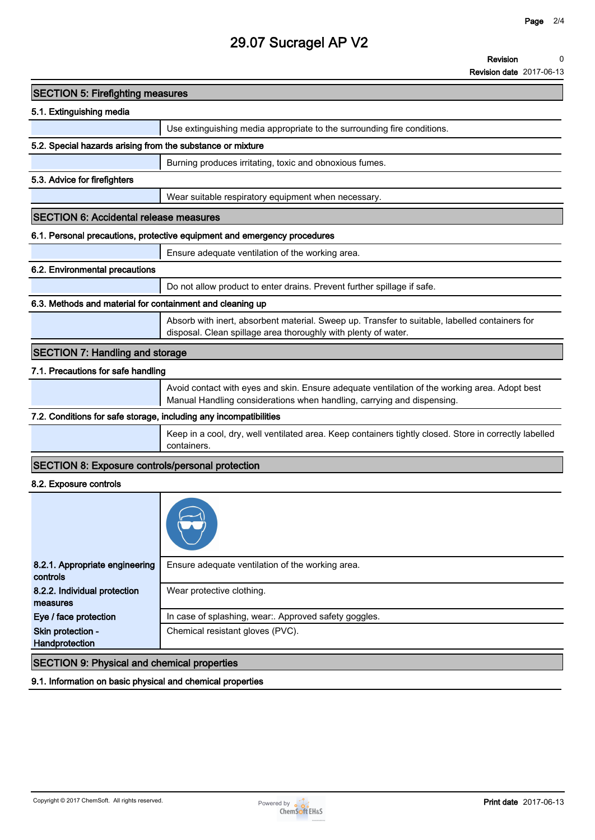| <b>SECTION 5: Firefighting measures</b>                           |                                                                                                                                                                         |
|-------------------------------------------------------------------|-------------------------------------------------------------------------------------------------------------------------------------------------------------------------|
| 5.1. Extinguishing media                                          |                                                                                                                                                                         |
|                                                                   | Use extinguishing media appropriate to the surrounding fire conditions.                                                                                                 |
| 5.2. Special hazards arising from the substance or mixture        |                                                                                                                                                                         |
|                                                                   | Burning produces irritating, toxic and obnoxious fumes.                                                                                                                 |
| 5.3. Advice for firefighters                                      |                                                                                                                                                                         |
|                                                                   | Wear suitable respiratory equipment when necessary.                                                                                                                     |
| <b>SECTION 6: Accidental release measures</b>                     |                                                                                                                                                                         |
|                                                                   | 6.1. Personal precautions, protective equipment and emergency procedures                                                                                                |
|                                                                   | Ensure adequate ventilation of the working area.                                                                                                                        |
| 6.2. Environmental precautions                                    |                                                                                                                                                                         |
|                                                                   | Do not allow product to enter drains. Prevent further spillage if safe.                                                                                                 |
| 6.3. Methods and material for containment and cleaning up         |                                                                                                                                                                         |
|                                                                   | Absorb with inert, absorbent material. Sweep up. Transfer to suitable, labelled containers for<br>disposal. Clean spillage area thoroughly with plenty of water.        |
| <b>SECTION 7: Handling and storage</b>                            |                                                                                                                                                                         |
| 7.1. Precautions for safe handling                                |                                                                                                                                                                         |
|                                                                   | Avoid contact with eyes and skin. Ensure adequate ventilation of the working area. Adopt best<br>Manual Handling considerations when handling, carrying and dispensing. |
| 7.2. Conditions for safe storage, including any incompatibilities |                                                                                                                                                                         |
|                                                                   | Keep in a cool, dry, well ventilated area. Keep containers tightly closed. Store in correctly labelled<br>containers.                                                   |
| <b>SECTION 8: Exposure controls/personal protection</b>           |                                                                                                                                                                         |
| 8.2. Exposure controls                                            |                                                                                                                                                                         |
|                                                                   |                                                                                                                                                                         |
| 8.2.1. Appropriate engineering<br>controls                        | Ensure adequate ventilation of the working area.                                                                                                                        |
| 8.2.2. Individual protection<br>measures                          | Wear protective clothing.                                                                                                                                               |
| Eye / face protection                                             | In case of splashing, wear:. Approved safety goggles.                                                                                                                   |
| Skin protection -<br>Handprotection                               | Chemical resistant gloves (PVC).                                                                                                                                        |

**SECTION 9: Physical and chemical properties**

**9.1. Information on basic physical and chemical properties**